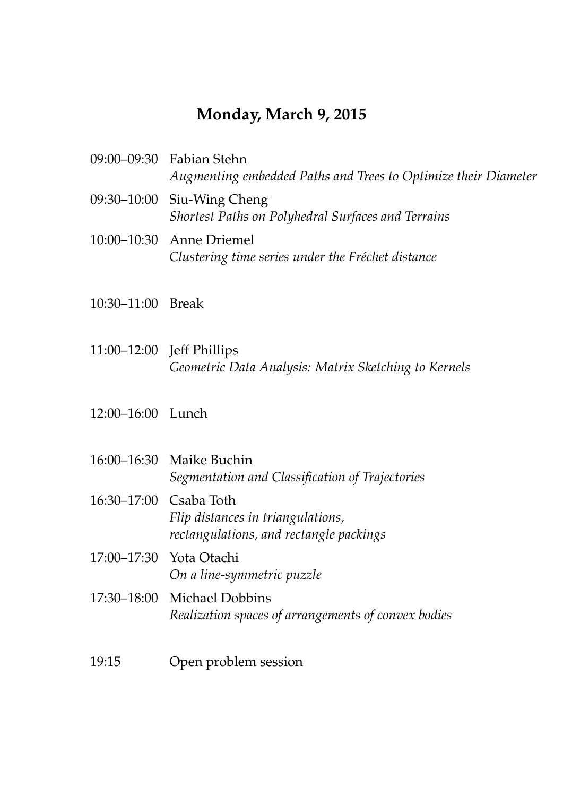### **Monday, March 9, 2015**

| 09:00–09:30 Fabian Stehn<br>Augmenting embedded Paths and Trees to Optimize their Diameter |
|--------------------------------------------------------------------------------------------|
| 09:30–10:00 Siu-Wing Cheng<br>Shortest Paths on Polyhedral Surfaces and Terrains           |
| 10:00–10:30 Anne Driemel<br>Clustering time series under the Fréchet distance              |

- 10:30–11:00 Break
- 11:00–12:00 Jeff Phillips *Geometric Data Analysis: Matrix Sketching to Kernels*
- 12:00–16:00 Lunch
- 16:00–16:30 Maike Buchin *Segmentation and Classification of Trajectories*
- 16:30–17:00 Csaba Toth *Flip distances in triangulations, rectangulations, and rectangle packings*
- 17:00–17:30 Yota Otachi *On a line-symmetric puzzle*
- 17:30–18:00 Michael Dobbins *Realization spaces of arrangements of convex bodies*
- 19:15 Open problem session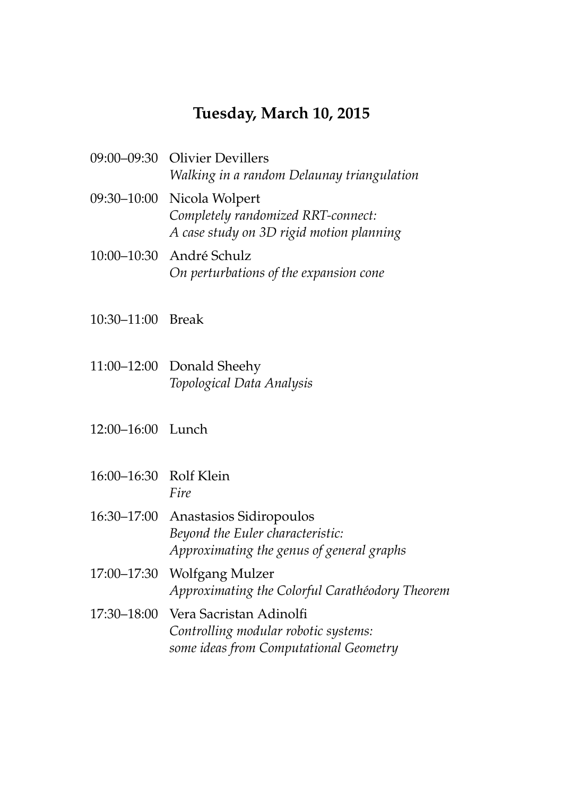#### **Tuesday, March 10, 2015**

- 09:00–09:30 Olivier Devillers *Walking in a random Delaunay triangulation*
- 09:30–10:00 Nicola Wolpert *Completely randomized RRT-connect: A case study on 3D rigid motion planning*
- 10:00–10:30 Andre Schulz ´ *On perturbations of the expansion cone*
- 10:30–11:00 Break
- 11:00–12:00 Donald Sheehy *Topological Data Analysis*
- 12:00–16:00 Lunch
- 16:00–16:30 Rolf Klein *Fire*
- 16:30–17:00 Anastasios Sidiropoulos *Beyond the Euler characteristic: Approximating the genus of general graphs*
- 17:00–17:30 Wolfgang Mulzer *Approximating the Colorful Carath´eodory Theorem*
- 17:30–18:00 Vera Sacristan Adinolfi *Controlling modular robotic systems: some ideas from Computational Geometry*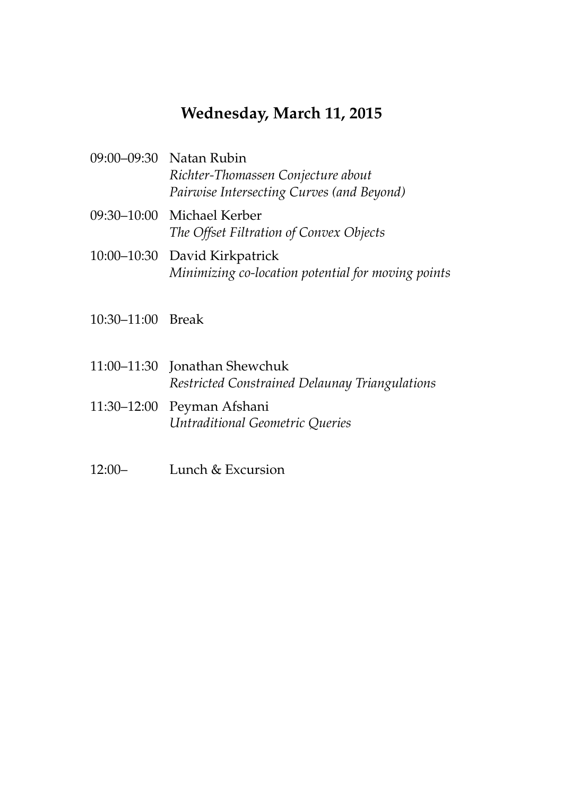### **Wednesday, March 11, 2015**

| 09:00–09:30 Natan Rubin                   |
|-------------------------------------------|
| Richter-Thomassen Conjecture about        |
| Pairwise Intersecting Curves (and Beyond) |

- 09:30–10:00 Michael Kerber *The Offset Filtration of Convex Objects*
- 10:00–10:30 David Kirkpatrick *Minimizing co-location potential for moving points*
- 10:30–11:00 Break
- 11:00–11:30 Jonathan Shewchuk *Restricted Constrained Delaunay Triangulations*
- 11:30–12:00 Peyman Afshani *Untraditional Geometric Queries*
- 12:00– Lunch & Excursion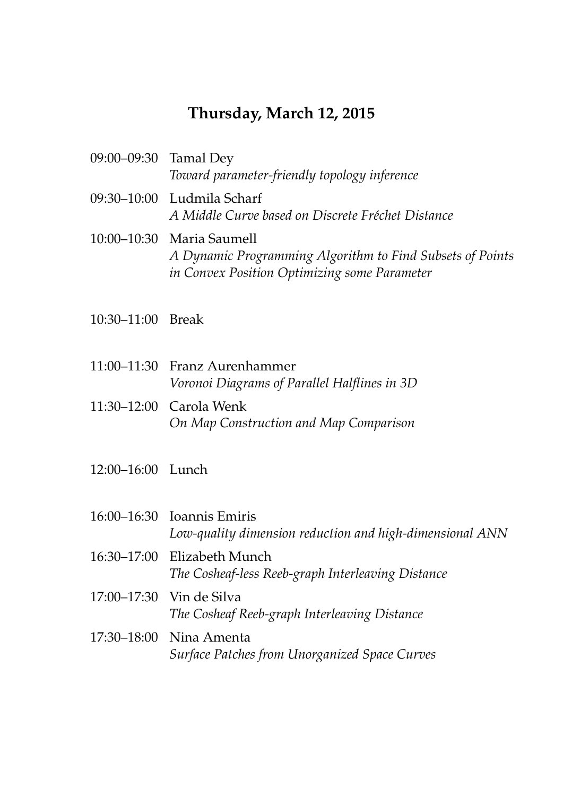# **Thursday, March 12, 2015**

| 09:00–09:30 Tamal Dey | Toward parameter-friendly topology inference                                                                                           |
|-----------------------|----------------------------------------------------------------------------------------------------------------------------------------|
|                       | 09:30–10:00 Ludmila Scharf<br>A Middle Curve based on Discrete Fréchet Distance                                                        |
|                       | 10:00-10:30 Maria Saumell<br>A Dynamic Programming Algorithm to Find Subsets of Points<br>in Convex Position Optimizing some Parameter |

- 10:30–11:00 Break
- 11:00–11:30 Franz Aurenhammer *Voronoi Diagrams of Parallel Halflines in 3D*
- 11:30–12:00 Carola Wenk *On Map Construction and Map Comparison*
- 12:00–16:00 Lunch

| 16:00–16:30 Ioannis Emiris<br>Low-quality dimension reduction and high-dimensional ANN |
|----------------------------------------------------------------------------------------|
| 16:30-17:00 Elizabeth Munch<br>The Cosheaf-less Reeb-graph Interleaving Distance       |
| 17:00–17:30 Vin de Silva<br>The Cosheaf Reeb-graph Interleaving Distance               |
| 17:30–18:00 Nina Amenta<br>Surface Patches from Unorganized Space Curves               |